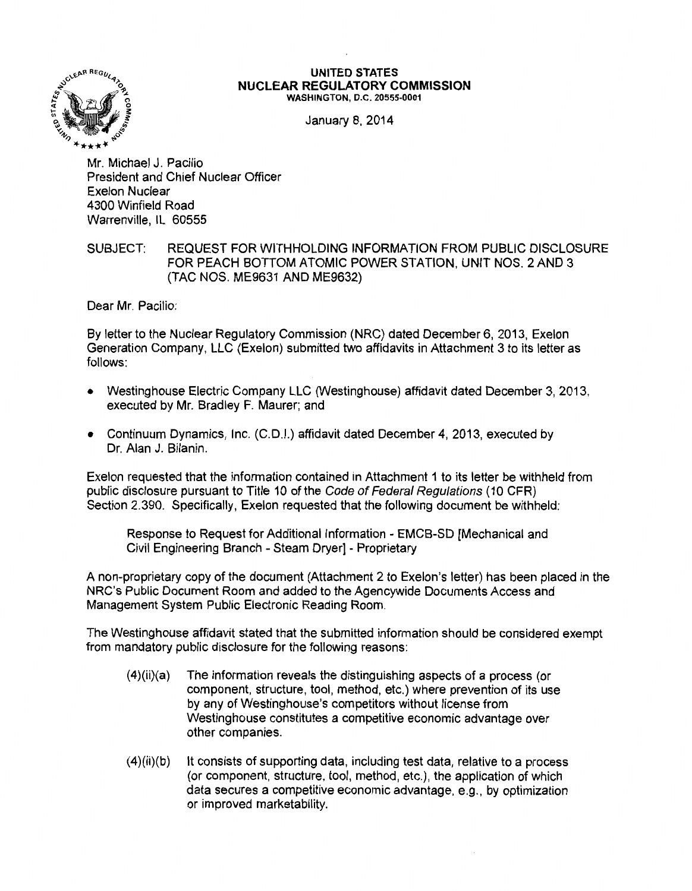

## **UNITED STATES NUCLEAR REGULATORY COMMISSION**  WASHINGTON, D.C. 20555-0001

January 8, 2014

Mr. Michael J. Pacilio President and Chief Nuclear Officer Exelon Nuclear 4300 Winfield Road Warrenville, IL 60555

## SUBJECT: REQUEST FOR WITHHOLDING INFORMATION FROM PUBLIC DISCLOSURE FOR PEACH BOTTOM ATOMIC POWER STATION, UNIT NOS. 2 AND 3 (TAC NOS. ME9631 AND ME9632)

Dear Mr. Pacilio:

By letter to the Nuclear Regulatory Commission (NRC) dated December 6, 2013, Exelon Generation Company, LLC (Exelon) submitted two affidavits in Attachment 3 to its letter as follows:

- Westinghouse Electric Company LLC (Westinghouse) affidavit dated December 3, 2013, executed by Mr. Bradley F. Maurer; and
- Continuum Dynamics, Inc. (C.D.I.) affidavit dated December 4, 2013, executed by Dr. Alan J. Bilanin.

Exelon requested that the information contained in Attachment 1 to its letter be withheld from public disclosure pursuant to Title 10 of the Code of Federal Regulations (10 CFR) Section 2.390. Specifically, Exelon requested that the following document be withheld:

Response to Request for Additional Information- EMCB-SD [Mechanical and Civil Engineering Branch - Steam Dryer] - Proprietary

A non-proprietary copy of the document (Attachment 2 to Exelon's letter) has been placed in the NRC's Public Document Room and added to the Agencywide Documents Access and Management System Public Electronic Reading Room.

The Westinghouse affidavit stated that the submitted information should be considered exempt from mandatory public disclosure for the following reasons:

- $(4)(ii)(a)$  The information reveals the distinguishing aspects of a process (or component, structure, tool, method, etc.) where prevention of its use by any of Westinghouse's competitors without license from Westinghouse constitutes a competitive economic advantage over other companies.
- (4)(ii)(b) It consists of supporting data, including test data, relative to a process (or component, structure, tool, method, etc.), the application of which data secures a competitive economic advantage, e.g., by optimization or improved marketability.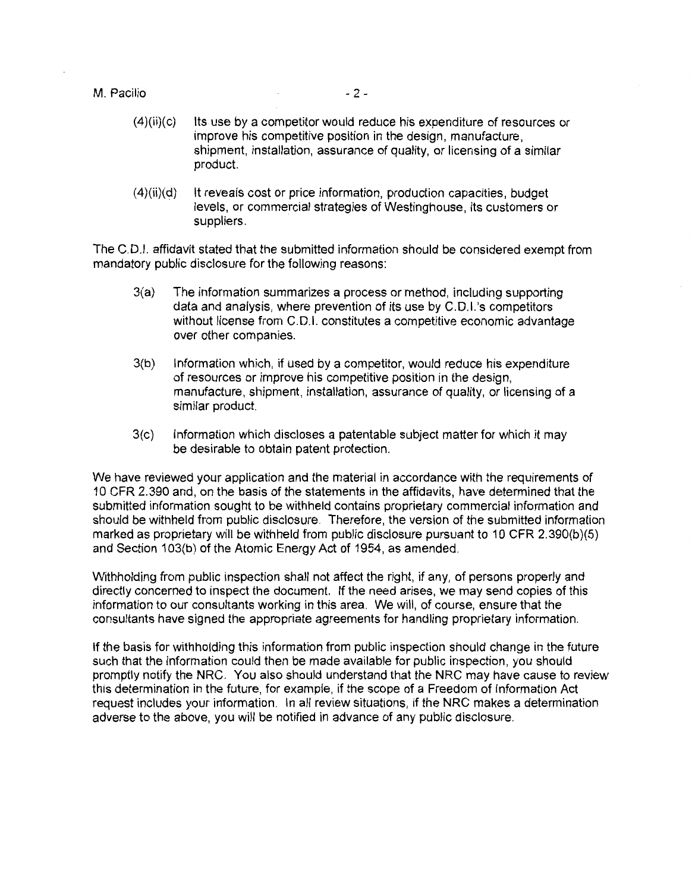## M. Pacilio - 2 -

- (4)(ii)(c) Its use by a competitor would reduce his expenditure of resources or improve his competitive position in the design, manufacture, shipment, installation, assurance of quality, or licensing of a similar product.
- $(4)(ii)(d)$  It reveals cost or price information, production capacities, budget levels, or commercial strategies of Westinghouse, its customers or suppliers.

The C.D.I. affidavit stated that the submitted information should be considered exempt from mandatory public disclosure for the following reasons:

- 3(a) The information summarizes a process or method, including supporting data and analysis, where prevention of its use by C.D.I.'s competitors without license from C.D.I. constitutes a competitive economic advantage over other companies.
- 3(b) Information which, if used by a competitor, would reduce his expenditure of resources or improve his competitive position in the design, manufacture, shipment, installation, assurance of quality, or licensing of a similar product.
- 3(c) Information which discloses a patentable subject matter for which it may be desirable to obtain patent protection.

We have reviewed your application and the material in accordance with the requirements of 10 CFR 2.390 and, on the basis of the statements in the affidavits, have determined that the submitted information sought to be withheld contains proprietary commercial information and should be withheld from public disclosure. Therefore, the version of the submitted information marked as proprietary will be withheld from public disclosure pursuant to 10 CFR 2.390(b)(5) and Section 103(b) of the Atomic Energy Act of 1954, as amended.

Withholding from public inspection shall not affect the right, if any, of persons properly and directly concerned to inspect the document. If the need arises, we may send copies of this information to our consultants working in this area. We will, of course, ensure that the consultants have signed the appropriate agreements for handling proprietary information.

If the basis for withholding this information from public inspection should change in the future such that the information could then be made available for public inspection, you should promptly notify the NRC. You also should understand that the NRC may have cause to review this determination in the future, for example, if the scope of a Freedom of Information Act request includes your information. In all review situations, if the NRC makes a determination adverse to the above, you will be notified in advance of any public disclosure.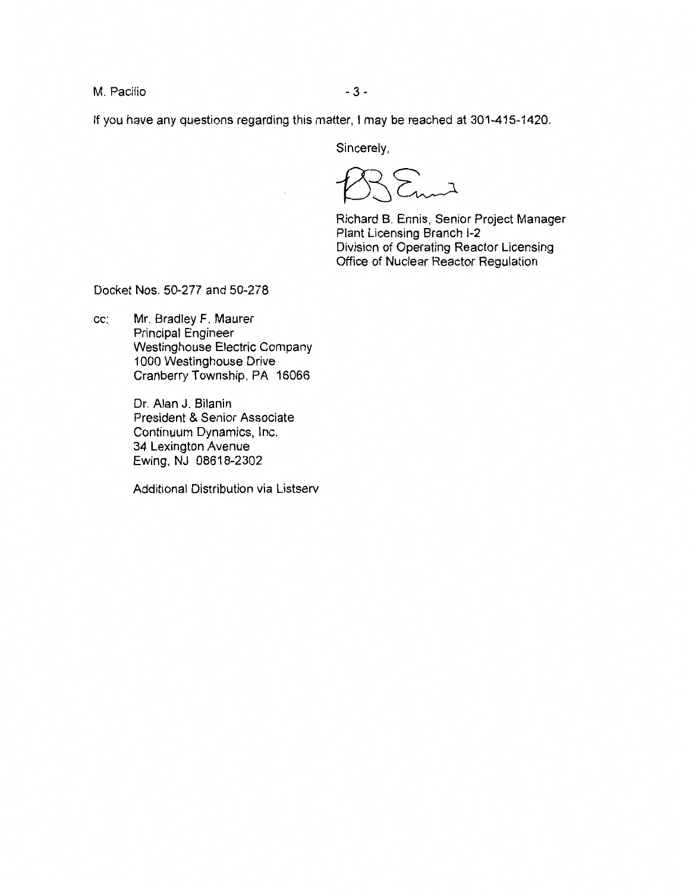M. Pacilio  $-3-$ 

If you have any questions regarding this matter, I may be reached at 301-415-1420.

Sincerely,

 $\sum_{\lambda}$ 

Richard B. Ennis, Senior Project Manager Plant Licensing Branch 1-2 Division of Operating Reactor Licensing Office of Nuclear Reactor Regulation

Docket Nos. 50-277 and 50-278

cc: Mr. Bradley F. Maurer Principal Engineer Westinghouse Electric Company 1000 Westinghouse Drive Cranberry Township, PA 16066

> Dr. Alan J. Bilanin President & Senior Associate Continuum Dynamics, Inc. 34 Lexington Avenue Ewing, NJ 08618-2302

Additional Distribution via Listserv